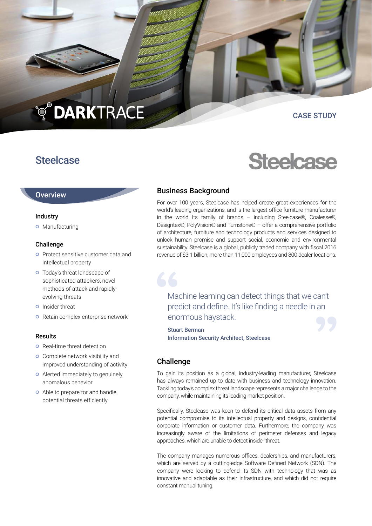# **TO DARKTRACE**

# CASE STUDY

# **Steelcase**

# **Overview**

#### Industry

**o** Manufacturing

#### Challenge

- **O** Protect sensitive customer data and intellectual property
- Today's threat landscape of sophisticated attackers, novel methods of attack and rapidlyevolving threats
- **o** Insider threat
- o Retain complex enterprise network

#### Results

- **o** Real-time threat detection
- **o** Complete network visibility and improved understanding of activity
- Alerted immediately to genuinely anomalous behavior
- Able to prepare for and handle potential threats efficiently



# Business Background

For over 100 years, Steelcase has helped create great experiences for the world's leading organizations, and is the largest office furniture manufacturer in the world. Its family of brands – including Steelcase®, Coalesse®, Designtex®, PolyVision® and Turnstone® – offer a comprehensive portfolio of architecture, furniture and technology products and services designed to unlock human promise and support social, economic and environmental sustainability. Steelcase is a global, publicly traded company with fiscal 2016 revenue of \$3.1 billion, more than 11,000 employees and 800 dealer locations.

Machine learning can detect things that we can't predict and define. It's like finding a needle in an enormous haystack.

Stuart Berman Information Security Architect, Steelcase

## Challenge

To gain its position as a global, industry-leading manufacturer, Steelcase has always remained up to date with business and technology innovation. Tackling today's complex threat landscape represents a major challenge to the company, while maintaining its leading market position.

Specifically, Steelcase was keen to defend its critical data assets from any potential compromise to its intellectual property and designs, confidential corporate information or customer data. Furthermore, the company was increasingly aware of the limitations of perimeter defenses and legacy approaches, which are unable to detect insider threat.

The company manages numerous offices, dealerships, and manufacturers, which are served by a cutting-edge Software Defined Network (SDN). The company were looking to defend its SDN with technology that was as innovative and adaptable as their infrastructure, and which did not require constant manual tuning.